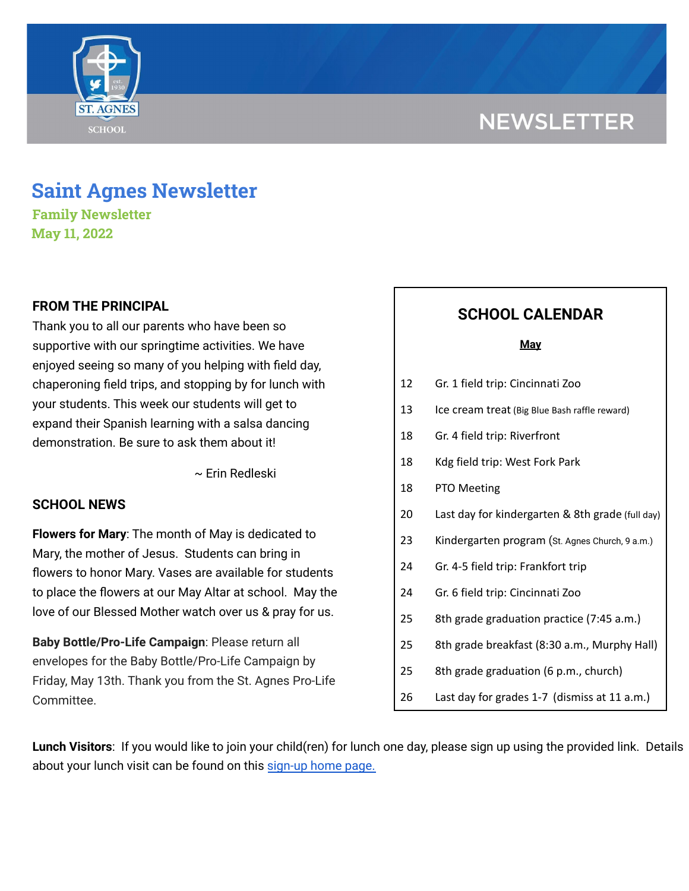# **NEWSLETTER**



## **Saint Agnes Newsletter**

**Family Newsletter May 11, 2022**

## **FROM THE PRINCIPAL**

Thank you to all our parents who have been so supportive with our springtime activities. We have enjoyed seeing so many of you helping with field day, chaperoning field trips, and stopping by for lunch with your students. This week our students will get to expand their Spanish learning with a salsa dancing demonstration. Be sure to ask them about it!

~ Erin Redleski

## **SCHOOL NEWS**

**Flowers for Mary**: The month of May is dedicated to Mary, the mother of Jesus. Students can bring in flowers to honor Mary. Vases are available for students to place the flowers at our May Altar at school. May the love of our Blessed Mother watch over us & pray for us.

**Baby Bottle/Pro-Life Campaign**: Please return all envelopes for the Baby Bottle/Pro-Life Campaign by Friday, May 13th. Thank you from the St. Agnes Pro-Life Committee.

## **SCHOOL CALENDAR**

#### **May**

- 13 Ice cream treat (Big Blue Bash raffle reward)
- 18 Gr. 4 field trip: Riverfront
- 18 Kdg field trip: West Fork Park
- 18 PTO Meeting
- 20 Last day for kindergarten & 8th grade (full day)
- 23 Kindergarten program (St. Agnes Church, 9 a.m.)
- 24 Gr. 4-5 field trip: Frankfort trip
- 24 Gr. 6 field trip: Cincinnati Zoo
- 25 8th grade graduation practice (7:45 a.m.)
- 25 8th grade breakfast (8:30 a.m., Murphy Hall)
- 25 8th grade graduation (6 p.m., church)
- 26 Last day for grades 1-7 (dismiss at 11 a.m.)

**Lunch Visitors**: If you would like to join your child(ren) for lunch one day, please sign up using the provided link. Details about your lunch visit can be found on this [sign-up](https://signup.com/Group/7270313220456800119/) home page.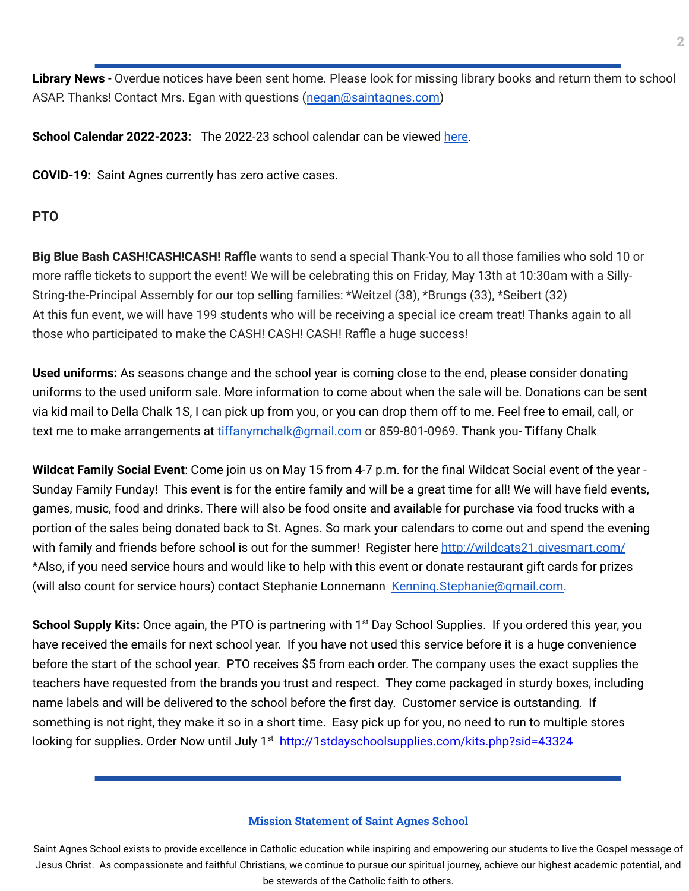**Library News** - Overdue notices have been sent home. Please look for missing library books and return them to school ASAP. Thanks! Contact Mrs. Egan with questions ([negan@saintagnes.com\)](mailto:negan@saintagnes.com)

**School Calendar 2022-2023:** The 2022-23 school calendar can be viewed [here](https://docs.google.com/document/d/19Jca5qDUn0PL7orYjTM3_tiJTiT1MqUm7a4nh3h5hlk/edit?usp=sharing).

**COVID-19:** Saint Agnes currently has zero active cases.

### **PTO**

**Big Blue Bash CASH!CASH!CASH! Raffle** wants to send a special Thank-You to all those families who sold 10 or more raffle tickets to support the event! We will be celebrating this on Friday, May 13th at 10:30am with a Silly-String-the-Principal Assembly for our top selling families: \*Weitzel (38), \*Brungs (33), \*Seibert (32) At this fun event, we will have 199 students who will be receiving a special ice cream treat! Thanks again to all those who participated to make the CASH! CASH! CASH! Raffle a huge success!

**Used uniforms:** As seasons change and the school year is coming close to the end, please consider donating uniforms to the used uniform sale. More information to come about when the sale will be. Donations can be sent via kid mail to Della Chalk 1S, I can pick up from you, or you can drop them off to me. Feel free to email, call, or text me to make arrangements at tiffanymchalk@gmail.com or 859-801-0969. Thank you- Tiffany Chalk

**Wildcat Family Social Event**: Come join us on May 15 from 4-7 p.m. for the final Wildcat Social event of the year - Sunday Family Funday! This event is for the entire family and will be a great time for all! We will have field events, games, music, food and drinks. There will also be food onsite and available for purchase via food trucks with a portion of the sales being donated back to St. Agnes. So mark your calendars to come out and spend the evening with family and friends before school is out for the summer! Register here <http://wildcats21.givesmart.com/> \*Also, if you need service hours and would like to help with this event or donate restaurant gift cards for prizes (will also count for service hours) contact Stephanie Lonnemann [Kenning.Stephanie@gmail.com.](mailto:Kenning.Stephanie@gmail.com)

School Supply Kits: Once again, the PTO is partnering with 1<sup>st</sup> Day School Supplies. If you ordered this year, you have received the emails for next school year. If you have not used this service before it is a huge convenience before the start of the school year. PTO receives \$5 from each order. The company uses the exact supplies the teachers have requested from the brands you trust and respect. They come packaged in sturdy boxes, including name labels and will be delivered to the school before the first day. Customer service is outstanding. If something is not right, they make it so in a short time. Easy pick up for you, no need to run to multiple stores looking for supplies. Order Now until July 1<sup>st</sup> [http://1stdayschoolsupplies.com/kits.php?sid=43324](https://nam12.safelinks.protection.outlook.com/?url=http%3A%2F%2Fclick.email.1stdayschoolsupplies.com%2F%3Fqs%3Da6381670051ae50e6df12d9c6298627d7167eb6d06fc4bd90939940d6c7b2c57b79378f2fe849cd98db78ff5c4d8f255f020800e61c7058f&data=05%7C01%7C%7Cb9d4faf547204fcbb35e08da26c82fb7%7C84df9e7fe9f640afb435aaaaaaaaaaaa%7C1%7C0%7C637864938505201896%7CUnknown%7CTWFpbGZsb3d8eyJWIjoiMC4wLjAwMDAiLCJQIjoiV2luMzIiLCJBTiI6Ik1haWwiLCJXVCI6Mn0%3D%7C3000%7C%7C%7C&sdata=WIIeMf5I1FT0hRH%2FgTxObfiZ1jHIdSeYQ3tZp5BvZs0%3D&reserved=0)

#### **Mission Statement of Saint Agnes School**

Saint Agnes School exists to provide excellence in Catholic education while inspiring and empowering our students to live the Gospel message of Jesus Christ. As compassionate and faithful Christians, we continue to pursue our spiritual journey, achieve our highest academic potential, and be stewards of the Catholic faith to others.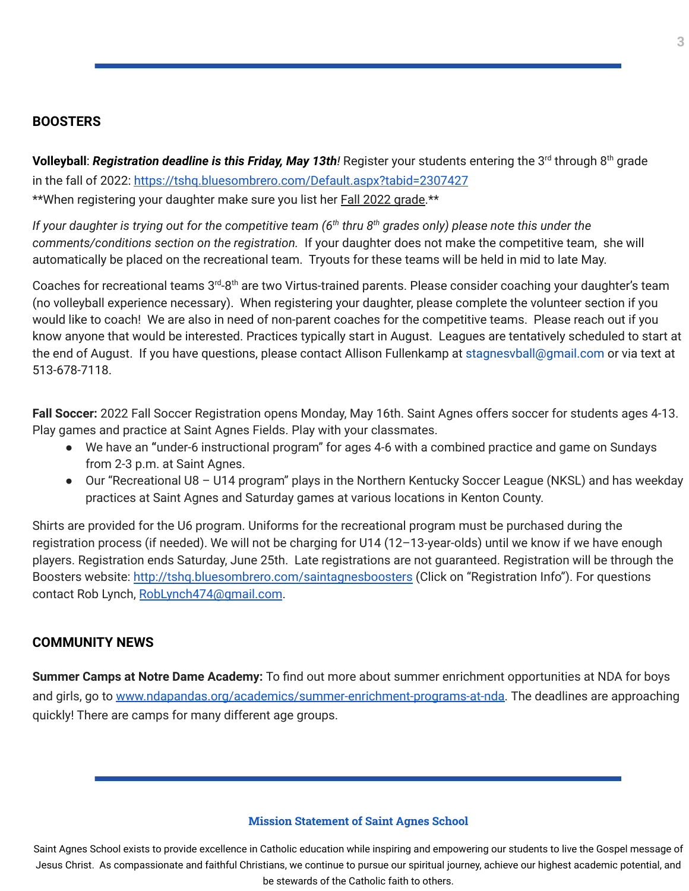### **BOOSTERS**

**Volleyball**: *Registration deadline is this Friday, May 13th!* Register your students entering the 3 rd through 8 th grade in the fall of 2022: <https://tshq.bluesombrero.com/Default.aspx?tabid=2307427>

\*\*When registering your daughter make sure you list her Fall 2022 grade.\*\*

If your daughter is trying out for the competitive team (6<sup>th</sup> thru 8<sup>th</sup> grades only) please note this under the *comments/conditions section on the registration.* If your daughter does not make the competitive team, she will automatically be placed on the recreational team. Tryouts for these teams will be held in mid to late May.

Coaches for recreational teams 3<sup>rd</sup>-8<sup>th</sup> are two Virtus-trained parents. Please consider coaching your daughter's team (no volleyball experience necessary). When registering your daughter, please complete the volunteer section if you would like to coach! We are also in need of non-parent coaches for the competitive teams. Please reach out if you know anyone that would be interested. Practices typically start in August. Leagues are tentatively scheduled to start at the end of August. If you have questions, please contact Allison Fullenkamp at stagnesvball@gmail.com or via text at 513-678-7118.

**Fall Soccer:** 2022 Fall Soccer Registration opens Monday, May 16th. Saint Agnes offers soccer for students ages 4-13. Play games and practice at Saint Agnes Fields. Play with your classmates.

- We have an **"**under-6 instructional program" for ages 4-6 with a combined practice and game on Sundays from 2-3 p.m. at Saint Agnes.
- Our "Recreational U8 U14 program" plays in the Northern Kentucky Soccer League (NKSL) and has weekday practices at Saint Agnes and Saturday games at various locations in Kenton County.

Shirts are provided for the U6 program. Uniforms for the recreational program must be purchased during the registration process (if needed). We will not be charging for U14 (12–13-year-olds) until we know if we have enough players. Registration ends Saturday, June 25th. Late registrations are not guaranteed. Registration will be through the Boosters website: <http://tshq.bluesombrero.com/saintagnesboosters> (Click on "Registration Info"). For questions contact Rob Lynch, [RobLynch474@gmail.com](mailto:RobLynch474@gmail.com).

## **COMMUNITY NEWS**

**Summer Camps at Notre Dame Academy:** To find out more about summer enrichment opportunities at NDA for boys and girls, go to [www.ndapandas.org/academics/summer-enrichment-programs-at-nda.](http://www.ndapandas.org/academics/summer-enrichment-programs-at-nda) The deadlines are approaching quickly! There are camps for many different age groups.

#### **Mission Statement of Saint Agnes School**

Saint Agnes School exists to provide excellence in Catholic education while inspiring and empowering our students to live the Gospel message of Jesus Christ. As compassionate and faithful Christians, we continue to pursue our spiritual journey, achieve our highest academic potential, and be stewards of the Catholic faith to others.